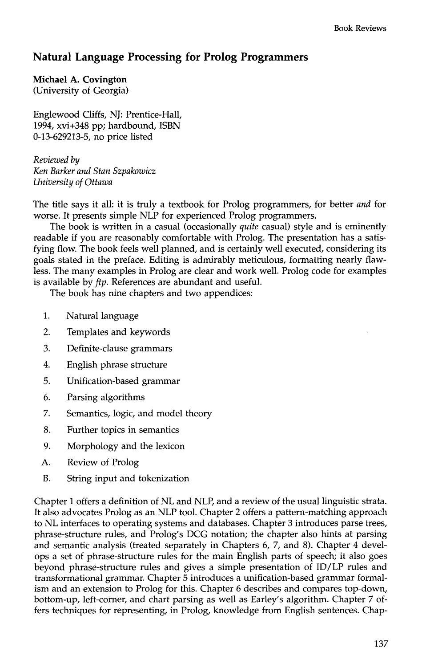## **Natural Language Processing for Prolog Programmers**

## **Michael A. Covington**  (University of Georgia)

Englewood Cliffs, NJ: Prentice-Hall, 1994, xvi+348 pp; hardbound, ISBN 0-13-629213-5, no price listed

*Reviewed by Ken Barker and Stan Szpakowicz University of Ottawa* 

The title says it all: it is truly a textbook for Prolog programmers, for better *and* for worse. It presents simple NLP for experienced Prolog programmers.

The book is written in a casual (occasionally *quite* casual) style and is eminently readable if you are reasonably comfortable with Prolog. The presentation has a satisfying flow. The book feels well planned, and is certainly well executed, considering its goals stated in the preface. Editing is admirably meticulous, formatting nearly flawless. The many examples in Prolog are clear and work well. Prolog code for examples is available by *ftp.* References are abundant and useful.

The book has nine chapters and two appendices:

- 1. Natural language
- 2. Templates and keywords
- 3. Definite-clause grammars
- 4. English phrase structure
- 5. Unification-based grammar
- 6. Parsing algorithms
- 7. Semantics, logic, and model theory
- 8. Further topics in semantics
- 9. Morphology and the lexicon
- A. Review of Prolog
- B. String input and tokenization

Chapter I offers a definition of NL and NLP, and a review of the usual linguistic strata. It also advocates Prolog as an NLP tool. Chapter 2 offers a pattern-matching approach to NL interfaces to operating systems and databases. Chapter 3 introduces parse trees, phrase-structure rules, and Prolog's DCG notation; the chapter also hints at parsing and semantic analysis (treated separately in Chapters 6, 7, and 8). Chapter 4 develops a set of phrase-structure rules for the main English parts of speech; it also goes beyond phrase-structure rules and gives a simple presentation of ID/LP rules and transformational grammar. Chapter 5 introduces a unification-based grammar formalism and an extension to Prolog for this. Chapter 6 describes and compares top-down, bottom-up, left-corner, and chart parsing as well as Earley's algorithm. Chapter 7 offers techniques for representing, in Prolog, knowledge from English sentences. Chap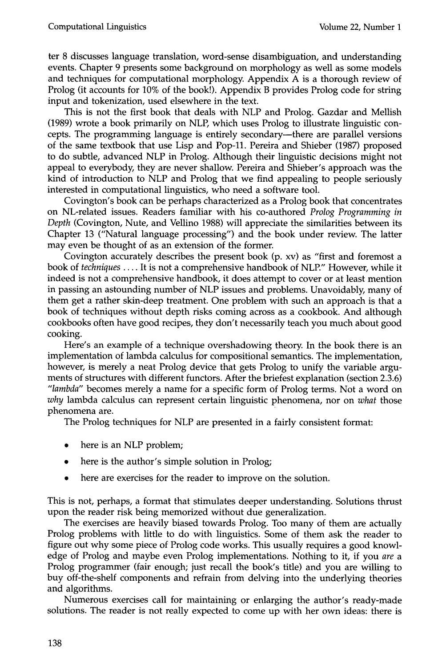ter 8 discusses language translation, word-sense disambiguation, and understanding events. Chapter 9 presents some background on morphology as well as some models and techniques for computational morphology. Appendix  $A$  is a thorough review of Prolog (it accounts for 10% of the book!). Appendix B provides Prolog code for string input and tokenization, used elsewhere in the text.

This is not the first book that deals with NLP and Prolog. Gazdar and Mellish (1989) wrote a book primarily on NLP, which uses Prolog to illustrate linguistic concepts. The programming language is entirely secondary-there are parallel versions of the same textbook that use Lisp and Pop-11. Pereira and Shieber (1987) proposed to do subtle, advanced NLP in Prolog. Although their linguistic decisions might not appeal to everybody, they are never shallow. Pereira and Shieber's approach was the kind of introduction to NLP and Prolog that we find appealing to people seriously interested in computational linguistics, who need a software tool.

Covington's book can be perhaps characterized as a Prolog book that concentrates on NL-related issues. Readers familiar with his co-authored *Prolog Programming in Depth* (Covington, Nute, and Vellino 1988) will appreciate the similarities between its Chapter 13 ("Natural language processing") and the book under review. The latter may even be thought of as an extension of the former.

Covington accurately describes the present book (p. xv) as "first and foremost a book of *techniques ....* It is not a comprehensive handbook of NLP." However, while it indeed is not a comprehensive handbook, it does attempt to cover or at least mention in passing an astounding number of NLP issues and problems. Unavoidably, many of them get a rather skin-deep treatment. One problem with such an approach is that a book of techniques without depth risks coming across as a cookbook. And although cookbooks often have good recipes, they don't necessarily teach you much about good cooking.

Here's an example of a technique overshadowing theory. In the book there is an implementation of lambda calculus for compositional semantics. The implementation, however, is merely a neat Prolog device that gets Prolog to unify the variable arguments of structures with different functors. After the briefest explanation (section 2.3.6) *"lambda"* becomes merely a name for a specific form of Prolog terms. Not a word on *why* lambda calculus can represent certain linguistic phenomena, nor on *what* those phenomena are.

The Prolog techniques for NLP are presented in a fairly consistent format:

- here is an NLP problem;
- here is the author's simple solution in Prolog;
- here are exercises for the reader to improve on the solution.

This is not, perhaps, a format that stimulates deeper understanding. Solutions thrust upon the reader risk being memorized without due generalization.

The exercises are heavily biased towards Prolog. Too many of them are actually Prolog problems with little to do with linguistics. Some of them ask the reader to figure out why some piece of Prolog code works. This usually requires a good knowledge of Prolog and maybe even Prolog implementations. Nothing to it, if you *are a*  Prolog programmer (fair enough; just recall the book's title) and you are willing to buy off-the-shelf components and refrain from delving into the underlying theories and algorithms.

Numerous exercises call for maintaining or enlarging the author's ready-made solutions. The reader is not really expected to come up with her own ideas: there is